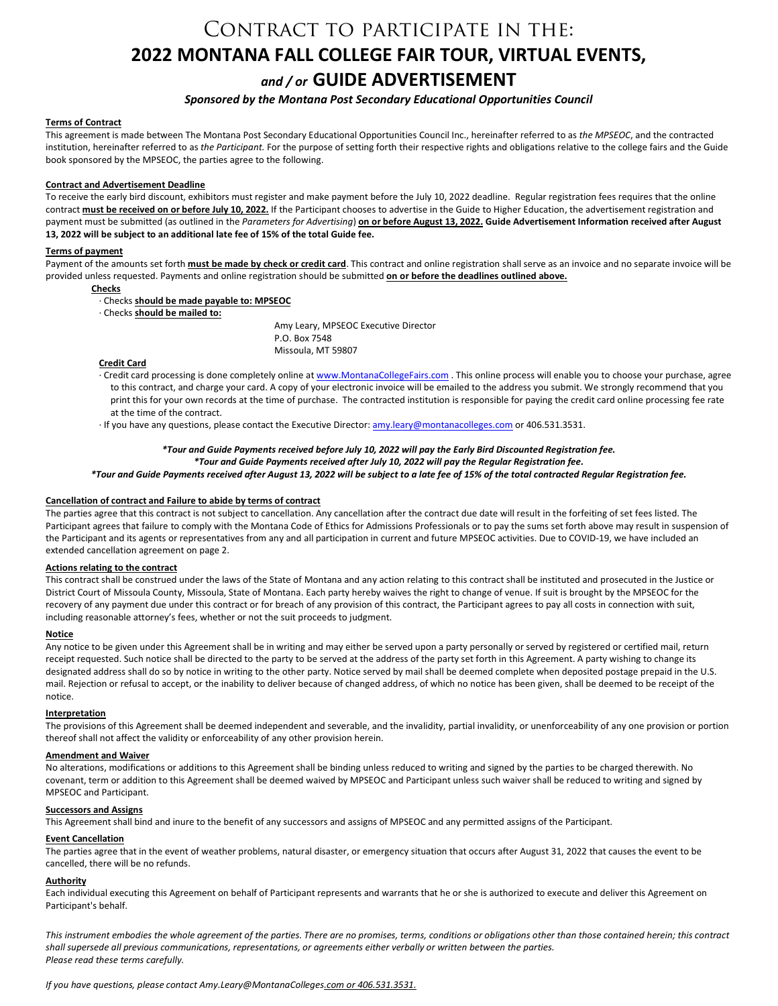# Contract to participate in the: **2022 MONTANA FALL COLLEGE FAIR TOUR, VIRTUAL EVENTS,** *and / or* **GUIDE ADVERTISEMENT**

## *Sponsored by the Montana Post Secondary Educational Opportunities Council*

## **Terms of Contract**

This agreement is made between The Montana Post Secondary Educational Opportunities Council Inc., hereinafter referred to as *the MPSEOC*, and the contracted institution, hereinafter referred to as *the Participant.* For the purpose of setting forth their respective rights and obligations relative to the college fairs and the Guide book sponsored by the MPSEOC, the parties agree to the following.

### **Contract and Advertisement Deadline**

To receive the early bird discount, exhibitors must register and make payment before the July 10, 2022 deadline. Regular registration fees requires that the online contract **must be received on or before July 10, 2022.** If the Participant chooses to advertise in the Guide to Higher Education, the advertisement registration and payment must be submitted (as outlined in the *Parameters for Advertising*) **on or before August 13, 2022. Guide Advertisement Information received after August 13, 2022 will be subject to an additional late fee of 15% of the total Guide fee.**

### **Terms of payment**

Payment of the amounts set forth **must be made by check or credit card**. This contract and online registration shall serve as an invoice and no separate invoice will be provided unless requested. Payments and online registration should be submitted **on or before the deadlines outlined above.**

- **Checks**
	- · Checks **should be made payable to: MPSEOC**

· Checks **should be mailed to:**

Amy Leary, MPSEOC Executive Director P.O. Box 7548 Missoula, MT 59807

## **Credit Card**

- · Credit card processing is done completely online at www.MontanaCollegeFairs.com . This online process will enable you to choose your purchase, agree to this contract, and charge your card. A copy of your electronic invoice will be emailed to the address you submit. We strongly recommend that you print this for your own records at the time of purchase. The contracted institution is responsible for paying the credit card online processing fee rate at the time of the contract.
- · If you have any questions, please contact the Executive Director[: amy.leary@montanacolleges.com](mailto:amy.leary@montanacolleges.com) or 406.531.3531.

## *\*Tour and Guide Payments received before July 10, 2022 will pay the Early Bird Discounted Registration fee. \*Tour and Guide Payments received after July 10, 2022 will pay the Regular Registration fee.*

## *\*Tour and Guide Payments received after August 13, 2022 will be subject to a late fee of 15% of the total contracted Regular Registration fee.*

### **Cancellation of contract and Failure to abide by terms of contract**

The parties agree that this contract is not subject to cancellation. Any cancellation after the contract due date will result in the forfeiting of set fees listed. The Participant agrees that failure to comply with the Montana Code of Ethics for Admissions Professionals or to pay the sums set forth above may result in suspension of the Participant and its agents or representatives from any and all participation in current and future MPSEOC activities. Due to COVID-19, we have included an extended cancellation agreement on page 2.

### **Actions relating to the contract**

This contract shall be construed under the laws of the State of Montana and any action relating to this contract shall be instituted and prosecuted in the Justice or District Court of Missoula County, Missoula, State of Montana. Each party hereby waives the right to change of venue. If suit is brought by the MPSEOC for the recovery of any payment due under this contract or for breach of any provision of this contract, the Participant agrees to pay all costs in connection with suit, including reasonable attorney's fees, whether or not the suit proceeds to judgment.

#### **Notice**

Any notice to be given under this Agreement shall be in writing and may either be served upon a party personally or served by registered or certified mail, return receipt requested. Such notice shall be directed to the party to be served at the address of the party set forth in this Agreement. A party wishing to change its designated address shall do so by notice in writing to the other party. Notice served by mail shall be deemed complete when deposited postage prepaid in the U.S. mail. Rejection or refusal to accept, or the inability to deliver because of changed address, of which no notice has been given, shall be deemed to be receipt of the notice.

#### **Interpretation**

The provisions of this Agreement shall be deemed independent and severable, and the invalidity, partial invalidity, or unenforceability of any one provision or portion thereof shall not affect the validity or enforceability of any other provision herein.

#### **Amendment and Waiver**

No alterations, modifications or additions to this Agreement shall be binding unless reduced to writing and signed by the parties to be charged therewith. No covenant, term or addition to this Agreement shall be deemed waived by MPSEOC and Participant unless such waiver shall be reduced to writing and signed by MPSEOC and Participant.

## **Successors and Assigns**

This Agreement shall bind and inure to the benefit of any successors and assigns of MPSEOC and any permitted assigns of the Participant.

### **Event Cancellation**

The parties agree that in the event of weather problems, natural disaster, or emergency situation that occurs after August 31, 2022 that causes the event to be cancelled, there will be no refunds.

#### **Authority**

Each individual executing this Agreement on behalf of Participant represents and warrants that he or she is authorized to execute and deliver this Agreement on Participant's behalf.

*This instrument embodies the whole agreement of the parties. There are no promises, terms, conditions or obligations other than those contained herein; this contract shall supersede all previous communications, representations, or agreements either verbally or written between the parties. Please read these terms carefully.*

*If you have questions, please contact Amy.Leary@MontanaColleges.com or 406.531.3531.*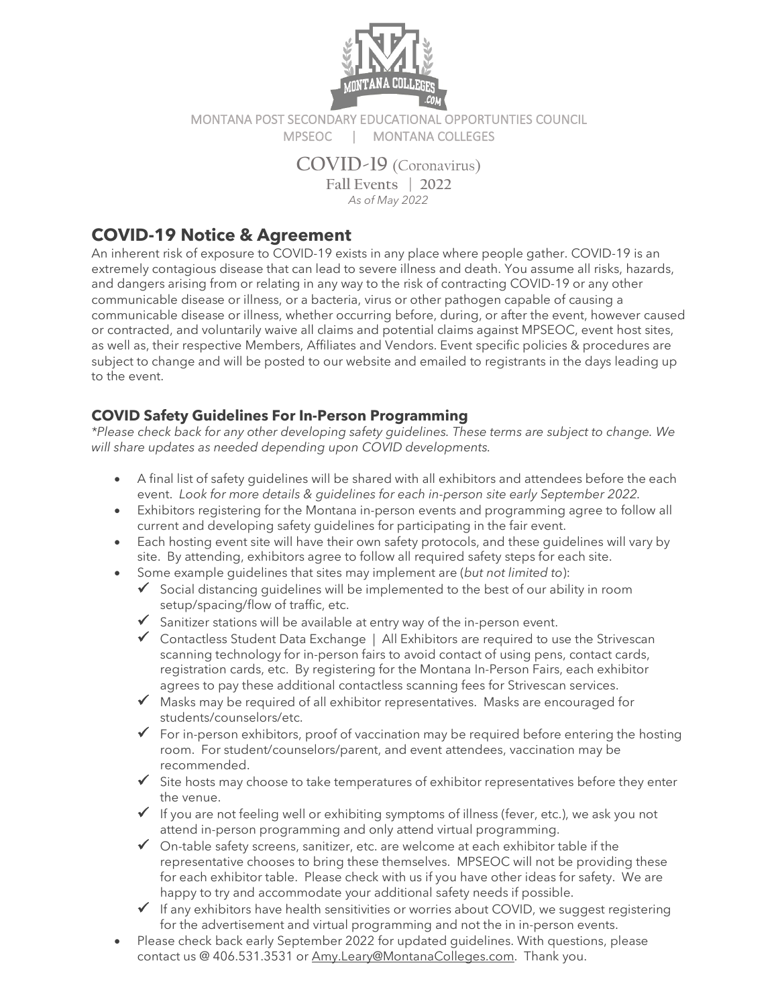

MONTANA POST SECONDARY EDUCATIONAL OPPORTUNTIES COUNCIL MPSEOC | MONTANA COLLEGES

## **COVID-19** (Coronavirus)

**Fall Events | 2022** *As of May 2022*

## **COVID-19 Notice & Agreement**

An inherent risk of exposure to COVID-19 exists in any place where people gather. COVID-19 is an extremely contagious disease that can lead to severe illness and death. You assume all risks, hazards, and dangers arising from or relating in any way to the risk of contracting COVID-19 or any other communicable disease or illness, or a bacteria, virus or other pathogen capable of causing a communicable disease or illness, whether occurring before, during, or after the event, however caused or contracted, and voluntarily waive all claims and potential claims against MPSEOC, event host sites, as well as, their respective Members, Affiliates and Vendors. Event specific policies & procedures are subject to change and will be posted to our website and emailed to registrants in the days leading up to the event.

## **COVID Safety Guidelines For In-Person Programming**

*\*Please check back for any other developing safety guidelines. These terms are subject to change. We will share updates as needed depending upon COVID developments.*

- A final list of safety guidelines will be shared with all exhibitors and attendees before the each event. *Look for more details & guidelines for each in-person site early September 2022.*
- Exhibitors registering for the Montana in-person events and programming agree to follow all current and developing safety guidelines for participating in the fair event.
- Each hosting event site will have their own safety protocols, and these guidelines will vary by site. By attending, exhibitors agree to follow all required safety steps for each site.
- Some example guidelines that sites may implement are (*but not limited to*):
	- $\checkmark$  Social distancing quidelines will be implemented to the best of our ability in room setup/spacing/flow of traffic, etc.
	- $\checkmark$  Sanitizer stations will be available at entry way of the in-person event.
	- $\checkmark$  Contactless Student Data Exchange | All Exhibitors are required to use the Strivescan scanning technology for in-person fairs to avoid contact of using pens, contact cards, registration cards, etc. By registering for the Montana In-Person Fairs, each exhibitor agrees to pay these additional contactless scanning fees for Strivescan services.
	- $\checkmark$  Masks may be required of all exhibitor representatives. Masks are encouraged for students/counselors/etc.
	- $\checkmark$  For in-person exhibitors, proof of vaccination may be required before entering the hosting room. For student/counselors/parent, and event attendees, vaccination may be recommended.
	- $\checkmark$  Site hosts may choose to take temperatures of exhibitor representatives before they enter the venue.
	- If you are not feeling well or exhibiting symptoms of illness (fever, etc.), we ask you not attend in-person programming and only attend virtual programming.
	- $\checkmark$  On-table safety screens, sanitizer, etc. are welcome at each exhibitor table if the representative chooses to bring these themselves. MPSEOC will not be providing these for each exhibitor table. Please check with us if you have other ideas for safety. We are happy to try and accommodate your additional safety needs if possible.
	- $\checkmark$  If any exhibitors have health sensitivities or worries about COVID, we suggest registering for the advertisement and virtual programming and not the in in-person events.
- Please check back early September 2022 for updated guidelines. With questions, please contact us @ 406.531.3531 or [Amy.Leary@MontanaColleges.com.](mailto:Amy.Leary@MontanaColleges.com) Thank you.